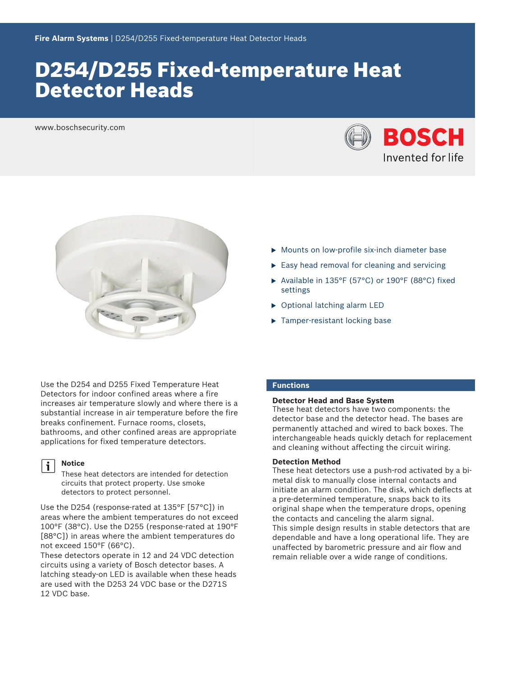# D254/D255 Fixed-temperature Heat Detector Heads

www.boschsecurity.com





- $\triangleright$  Mounts on low-profile six-inch diameter base
- $\triangleright$  Easy head removal for cleaning and servicing
- $\blacktriangleright$  Available in 135°F (57°C) or 190°F (88°C) fixed settings
- $\triangleright$  Optional latching alarm LED
- $\blacktriangleright$  Tamper-resistant locking base

Use the D254 and D255 Fixed Temperature Heat Detectors for indoor confined areas where a fire increases air temperature slowly and where there is a substantial increase in air temperature before the fire breaks confinement. Furnace rooms, closets, bathrooms, and other confined areas are appropriate applications for fixed temperature detectors.

### **Notice**

These heat detectors are intended for detection circuits that protect property. Use smoke detectors to protect personnel.

Use the D254 (response-rated at 135°F [57°C]) in areas where the ambient temperatures do not exceed 100°F (38°C). Use the D255 (response-rated at 190°F [88°C]) in areas where the ambient temperatures do not exceed 150°F (66°C).

These detectors operate in 12 and 24 VDC detection circuits using a variety of Bosch detector bases. A latching steady-on LED is available when these heads are used with the D253 24 VDC base or the D271S 12 VDC base.

# **Functions**

## **Detector Head and Base System**

These heat detectors have two components: the detector base and the detector head. The bases are permanently attached and wired to back boxes. The interchangeable heads quickly detach for replacement and cleaning without affecting the circuit wiring.

# **Detection Method**

These heat detectors use a push-rod activated by a bimetal disk to manually close internal contacts and initiate an alarm condition. The disk, which deflects at a pre‑determined temperature, snaps back to its original shape when the temperature drops, opening the contacts and canceling the alarm signal. This simple design results in stable detectors that are dependable and have a long operational life. They are unaffected by barometric pressure and air flow and remain reliable over a wide range of conditions.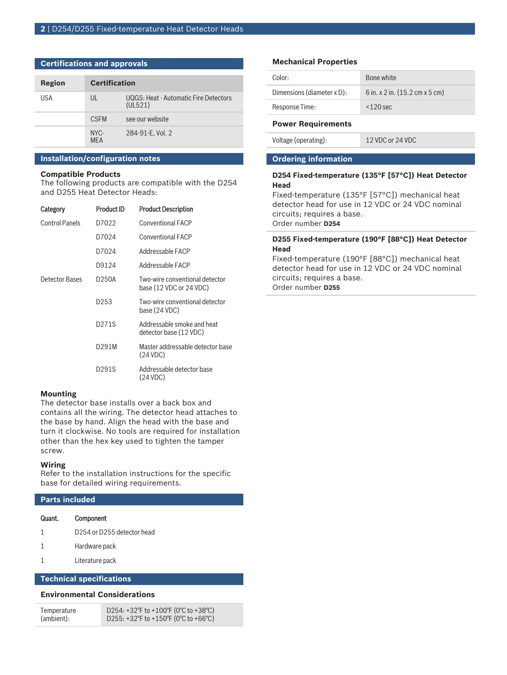| <b>Certifications and approvals</b> |            |                      |                                                  |
|-------------------------------------|------------|----------------------|--------------------------------------------------|
|                                     | Region     | <b>Certification</b> |                                                  |
|                                     | <b>USA</b> | UL                   | UQGS: Heat - Automatic Fire Detectors<br>(UL521) |
|                                     |            | <b>CSEM</b>          | see our website                                  |
|                                     |            | NYC-<br><b>MFA</b>   | 284-91-E, Vol. 2                                 |

### **Installation/configuration notes**

### **Compatible Products**

The following products are compatible with the D254 and D255 Heat Detector Heads:

| Category       | <b>Product ID</b> | <b>Product Description</b>                                |
|----------------|-------------------|-----------------------------------------------------------|
| Control Panels | D7022             | <b>Conventional FACP</b>                                  |
|                | D7024             | <b>Conventional FACP</b>                                  |
|                | D7024             | Addressable FACP                                          |
|                | D9124             | Addressable FACP                                          |
| Detector Bases | D250A             | Two-wire conventional detector<br>base (12 VDC or 24 VDC) |
|                | D <sub>253</sub>  | Two-wire conventional detector<br>base (24 VDC)           |
|                | D271S             | Addressable smoke and heat<br>detector base (12 VDC)      |
|                | D291M             | Master addressable detector base<br>(24 VDC)              |
|                | D291S             | Addressable detector base<br>(24 VDC)                     |

# **Mounting**

The detector base installs over a back box and contains all the wiring. The detector head attaches to the base by hand. Align the head with the base and turn it clockwise. No tools are required for installation other than the hex key used to tighten the tamper screw.

#### **Wiring**

Refer to the installation instructions for the specific base for detailed wiring requirements.

# **Parts included**

| Quant. | Component                                          |
|--------|----------------------------------------------------|
|        | D <sub>254</sub> or D <sub>255</sub> detector head |

1 Hardware pack

# 1 Literature pack

# **Technical specifications**

# **Environmental Considerations**

| Temperature | D254: +32°F to +100°F (0°C to +38°C)   |
|-------------|----------------------------------------|
| (ambient):  | D255: +32 F to +150 F (0 °C to +66 °C) |

# **Mechanical Properties**

| Color:                     | Bone white                                            |
|----------------------------|-------------------------------------------------------|
| Dimensions (diameter x D): | 6 in. x 2 in. $(15.2 \text{ cm} \times 5 \text{ cm})$ |
| Response Time:             | $<$ 120 sec                                           |
| <b>Power Requirements</b>  |                                                       |

Voltage (operating): 12 VDC or 24 VDC

**Ordering information**

# **D254 Fixed-temperature (135°F [57°C]) Heat Detector Head**

Fixed-temperature (135°F [57°C]) mechanical heat detector head for use in 12 VDC or 24 VDC nominal circuits; requires a base. Order number **D254**

# **D255 Fixed-temperature (190°F [88°C]) Heat Detector Head**

Fixed-temperature (190°F [88°C]) mechanical heat detector head for use in 12 VDC or 24 VDC nominal circuits; requires a base.

Order number **D255**